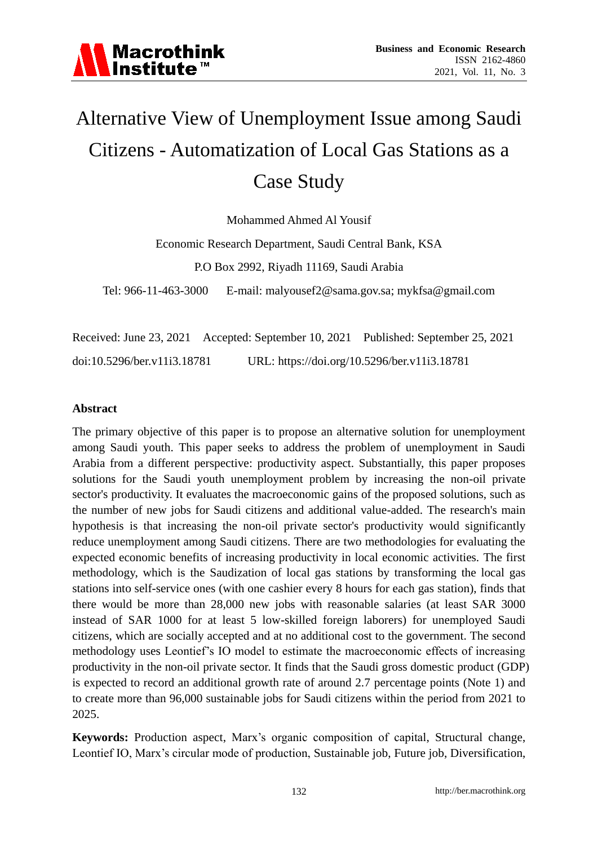

# Alternative View of Unemployment Issue among Saudi Citizens - Automatization of Local Gas Stations as a Case Study

Mohammed Ahmed Al Yousif

Economic Research Department, Saudi Central Bank, KSA P.O Box 2992, Riyadh 11169, Saudi Arabia

Tel: 966-11-463-3000 E-mail: malyousef2@sama.gov.sa; mykfsa@gmail.com

Received: June 23, 2021 Accepted: September 10, 2021 Published: September 25, 2021 doi:10.5296/ber.v11i3.18781 URL: https://doi.org/10.5296/ber.v11i3.18781

#### **Abstract**

The primary objective of this paper is to propose an alternative solution for unemployment among Saudi youth. This paper seeks to address the problem of unemployment in Saudi Arabia from a different perspective: productivity aspect. Substantially, this paper proposes solutions for the Saudi youth unemployment problem by increasing the non-oil private sector's productivity. It evaluates the macroeconomic gains of the proposed solutions, such as the number of new jobs for Saudi citizens and additional value-added. The research's main hypothesis is that increasing the non-oil private sector's productivity would significantly reduce unemployment among Saudi citizens. There are two methodologies for evaluating the expected economic benefits of increasing productivity in local economic activities. The first methodology, which is the Saudization of local gas stations by transforming the local gas stations into self-service ones (with one cashier every 8 hours for each gas station), finds that there would be more than 28,000 new jobs with reasonable salaries (at least SAR 3000 instead of SAR 1000 for at least 5 low-skilled foreign laborers) for unemployed Saudi citizens, which are socially accepted and at no additional cost to the government. The second methodology uses Leontief"s IO model to estimate the macroeconomic effects of increasing productivity in the non-oil private sector. It finds that the Saudi gross domestic product (GDP) is expected to record an additional growth rate of around 2.7 percentage points (Note 1) and to create more than 96,000 sustainable jobs for Saudi citizens within the period from 2021 to 2025.

**Keywords:** Production aspect, Marx"s organic composition of capital, Structural change, Leontief IO, Marx's circular mode of production, Sustainable job, Future job, Diversification,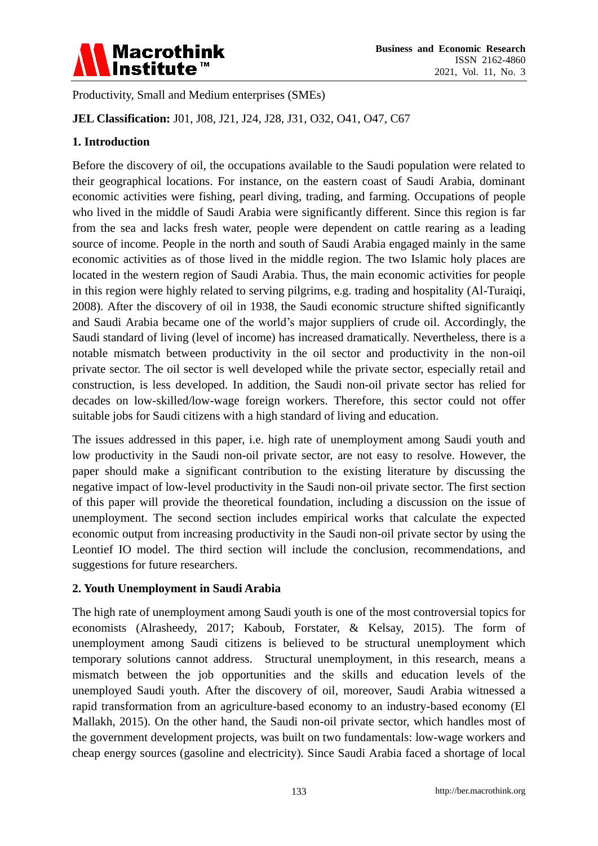

Productivity, Small and Medium enterprises (SMEs)

**JEL Classification:** J01, J08, J21, J24, J28, J31, O32, O41, O47, C67

# **1. Introduction**

Before the discovery of oil, the occupations available to the Saudi population were related to their geographical locations. For instance, on the eastern coast of Saudi Arabia, dominant economic activities were fishing, pearl diving, trading, and farming. Occupations of people who lived in the middle of Saudi Arabia were significantly different. Since this region is far from the sea and lacks fresh water, people were dependent on cattle rearing as a leading source of income. People in the north and south of Saudi Arabia engaged mainly in the same economic activities as of those lived in the middle region. The two Islamic holy places are located in the western region of Saudi Arabia. Thus, the main economic activities for people in this region were highly related to serving pilgrims, e.g. trading and hospitality (Al-Turaiqi, 2008). After the discovery of oil in 1938, the Saudi economic structure shifted significantly and Saudi Arabia became one of the world"s major suppliers of crude oil. Accordingly, the Saudi standard of living (level of income) has increased dramatically. Nevertheless, there is a notable mismatch between productivity in the oil sector and productivity in the non-oil private sector. The oil sector is well developed while the private sector, especially retail and construction, is less developed. In addition, the Saudi non-oil private sector has relied for decades on low-skilled/low-wage foreign workers. Therefore, this sector could not offer suitable jobs for Saudi citizens with a high standard of living and education.

The issues addressed in this paper, i.e. high rate of unemployment among Saudi youth and low productivity in the Saudi non-oil private sector, are not easy to resolve. However, the paper should make a significant contribution to the existing literature by discussing the negative impact of low-level productivity in the Saudi non-oil private sector. The first section of this paper will provide the theoretical foundation, including a discussion on the issue of unemployment. The second section includes empirical works that calculate the expected economic output from increasing productivity in the Saudi non-oil private sector by using the Leontief IO model. The third section will include the conclusion, recommendations, and suggestions for future researchers.

## **2. Youth Unemployment in Saudi Arabia**

The high rate of unemployment among Saudi youth is one of the most controversial topics for economists (Alrasheedy, 2017; Kaboub, Forstater, & Kelsay, 2015). The form of unemployment among Saudi citizens is believed to be structural unemployment which temporary solutions cannot address. Structural unemployment, in this research, means a mismatch between the job opportunities and the skills and education levels of the unemployed Saudi youth. After the discovery of oil, moreover, Saudi Arabia witnessed a rapid transformation from an agriculture-based economy to an industry-based economy (El Mallakh, 2015). On the other hand, the Saudi non-oil private sector, which handles most of the government development projects, was built on two fundamentals: low-wage workers and cheap energy sources (gasoline and electricity). Since Saudi Arabia faced a shortage of local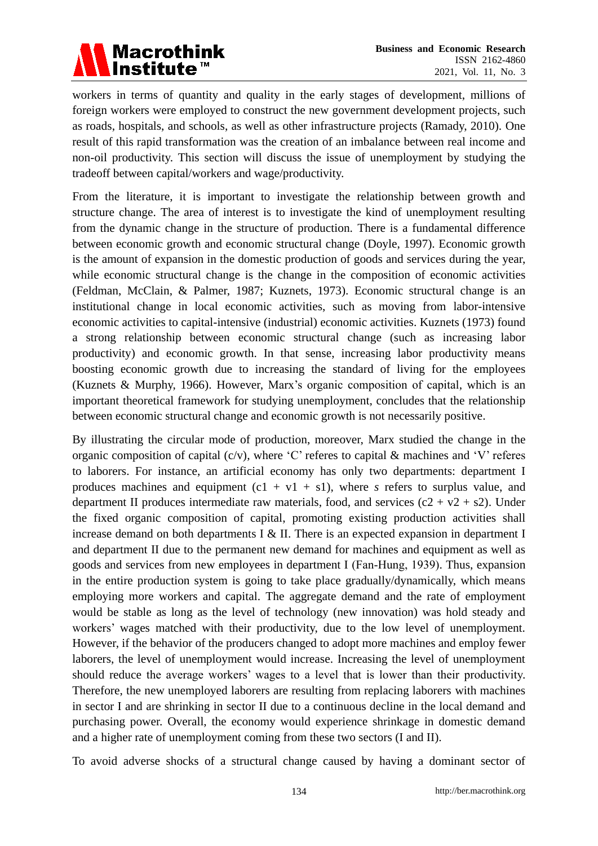

workers in terms of quantity and quality in the early stages of development, millions of foreign workers were employed to construct the new government development projects, such as roads, hospitals, and schools, as well as other infrastructure projects (Ramady, 2010). One result of this rapid transformation was the creation of an imbalance between real income and non-oil productivity. This section will discuss the issue of unemployment by studying the tradeoff between capital/workers and wage/productivity.

From the literature, it is important to investigate the relationship between growth and structure change. The area of interest is to investigate the kind of unemployment resulting from the dynamic change in the structure of production. There is a fundamental difference between economic growth and economic structural change (Doyle, 1997). Economic growth is the amount of expansion in the domestic production of goods and services during the year, while economic structural change is the change in the composition of economic activities (Feldman, McClain, & Palmer, 1987; Kuznets, 1973). Economic structural change is an institutional change in local economic activities, such as moving from labor-intensive economic activities to capital-intensive (industrial) economic activities. Kuznets (1973) found a strong relationship between economic structural change (such as increasing labor productivity) and economic growth. In that sense, increasing labor productivity means boosting economic growth due to increasing the standard of living for the employees (Kuznets & Murphy, 1966). However, Marx"s organic composition of capital, which is an important theoretical framework for studying unemployment, concludes that the relationship between economic structural change and economic growth is not necessarily positive.

By illustrating the circular mode of production, moreover, Marx studied the change in the organic composition of capital (c/v), where 'C' referes to capital  $\&$  machines and 'V' referes to laborers. For instance, an artificial economy has only two departments: department I produces machines and equipment  $(c1 + v1 + s1)$ , where *s* refers to surplus value, and department II produces intermediate raw materials, food, and services  $(c2 + v2 + s2)$ . Under the fixed organic composition of capital, promoting existing production activities shall increase demand on both departments I & II. There is an expected expansion in department I and department II due to the permanent new demand for machines and equipment as well as goods and services from new employees in department I (Fan‑Hung, 1939). Thus, expansion in the entire production system is going to take place gradually/dynamically, which means employing more workers and capital. The aggregate demand and the rate of employment would be stable as long as the level of technology (new innovation) was hold steady and workers' wages matched with their productivity, due to the low level of unemployment. However, if the behavior of the producers changed to adopt more machines and employ fewer laborers, the level of unemployment would increase. Increasing the level of unemployment should reduce the average workers' wages to a level that is lower than their productivity. Therefore, the new unemployed laborers are resulting from replacing laborers with machines in sector I and are shrinking in sector II due to a continuous decline in the local demand and purchasing power. Overall, the economy would experience shrinkage in domestic demand and a higher rate of unemployment coming from these two sectors (I and II).

To avoid adverse shocks of a structural change caused by having a dominant sector of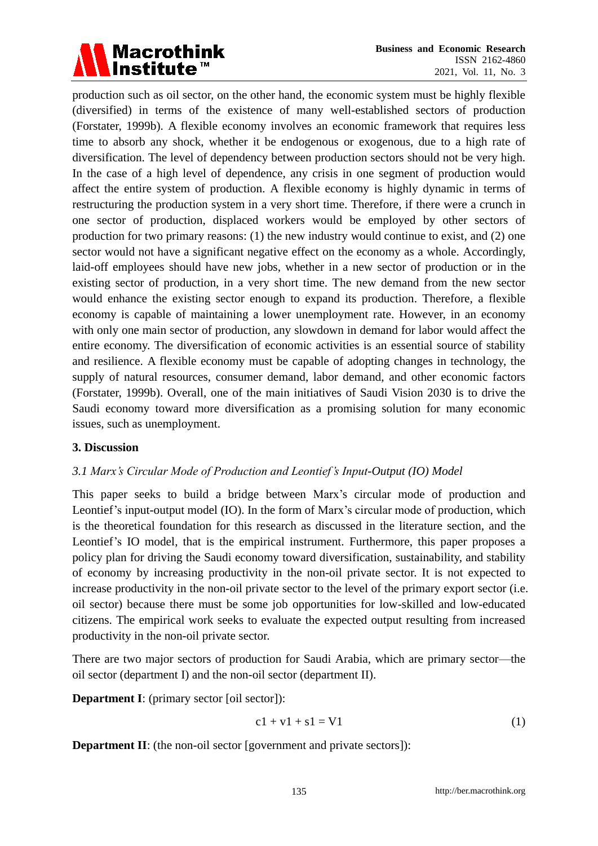

production such as oil sector, on the other hand, the economic system must be highly flexible (diversified) in terms of the existence of many well-established sectors of production (Forstater, 1999b). A flexible economy involves an economic framework that requires less time to absorb any shock, whether it be endogenous or exogenous, due to a high rate of diversification. The level of dependency between production sectors should not be very high. In the case of a high level of dependence, any crisis in one segment of production would affect the entire system of production. A flexible economy is highly dynamic in terms of restructuring the production system in a very short time. Therefore, if there were a crunch in one sector of production, displaced workers would be employed by other sectors of production for two primary reasons: (1) the new industry would continue to exist, and (2) one sector would not have a significant negative effect on the economy as a whole. Accordingly, laid-off employees should have new jobs, whether in a new sector of production or in the existing sector of production, in a very short time. The new demand from the new sector would enhance the existing sector enough to expand its production. Therefore, a flexible economy is capable of maintaining a lower unemployment rate. However, in an economy with only one main sector of production, any slowdown in demand for labor would affect the entire economy. The diversification of economic activities is an essential source of stability and resilience. A flexible economy must be capable of adopting changes in technology, the supply of natural resources, consumer demand, labor demand, and other economic factors (Forstater, 1999b). Overall, one of the main initiatives of Saudi Vision 2030 is to drive the Saudi economy toward more diversification as a promising solution for many economic issues, such as unemployment.

#### **3. Discussion**

## *3.1 Marx's Circular Mode of Production and Leontief's Input-Output (IO) Model*

This paper seeks to build a bridge between Marx"s circular mode of production and Leontief's input-output model (IO). In the form of Marx's circular mode of production, which is the theoretical foundation for this research as discussed in the literature section, and the Leontief's IO model, that is the empirical instrument. Furthermore, this paper proposes a policy plan for driving the Saudi economy toward diversification, sustainability, and stability of economy by increasing productivity in the non-oil private sector. It is not expected to increase productivity in the non-oil private sector to the level of the primary export sector (i.e. oil sector) because there must be some job opportunities for low-skilled and low-educated citizens. The empirical work seeks to evaluate the expected output resulting from increased productivity in the non-oil private sector.

There are two major sectors of production for Saudi Arabia, which are primary sector—the oil sector (department I) and the non-oil sector (department II).

**Department I**: (primary sector [oil sector]):

$$
c1 + v1 + s1 = V1
$$
 (1)

**Department II**: (the non-oil sector [government and private sectors]):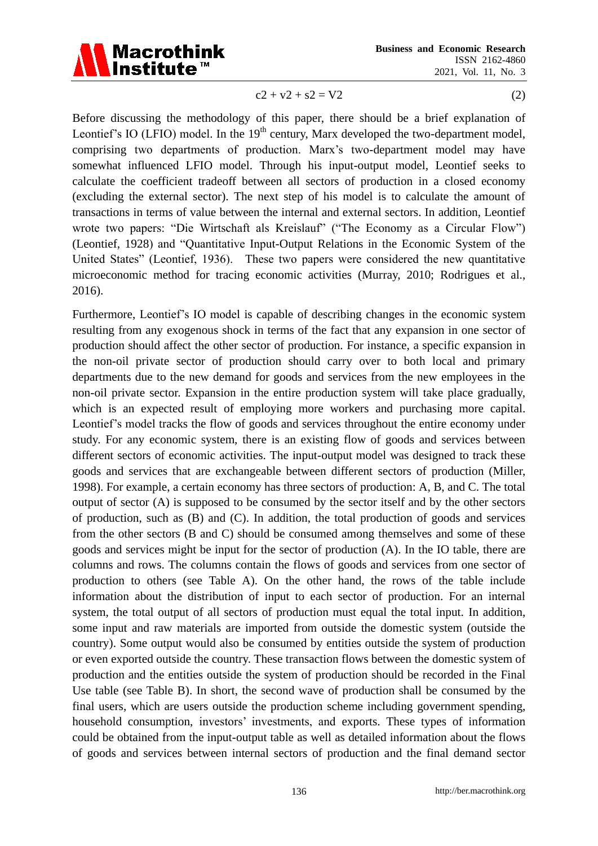

 $c2 + v2 + s2 = V2$  (2)

Before discussing the methodology of this paper, there should be a brief explanation of Leontief's IO (LFIO) model. In the  $19<sup>th</sup>$  century, Marx developed the two-department model, comprising two departments of production. Marx"s two-department model may have somewhat influenced LFIO model. Through his input-output model, Leontief seeks to calculate the coefficient tradeoff between all sectors of production in a closed economy (excluding the external sector). The next step of his model is to calculate the amount of transactions in terms of value between the internal and external sectors. In addition, Leontief wrote two papers: "Die Wirtschaft als Kreislauf" ("The Economy as a Circular Flow") (Leontief, 1928) and "Quantitative Input-Output Relations in the Economic System of the United States" (Leontief, 1936). These two papers were considered the new quantitative microeconomic method for tracing economic activities (Murray, 2010; Rodrigues et al., 2016).

Furthermore, Leontief"s IO model is capable of describing changes in the economic system resulting from any exogenous shock in terms of the fact that any expansion in one sector of production should affect the other sector of production. For instance, a specific expansion in the non-oil private sector of production should carry over to both local and primary departments due to the new demand for goods and services from the new employees in the non-oil private sector. Expansion in the entire production system will take place gradually, which is an expected result of employing more workers and purchasing more capital. Leontief"s model tracks the flow of goods and services throughout the entire economy under study. For any economic system, there is an existing flow of goods and services between different sectors of economic activities. The input-output model was designed to track these goods and services that are exchangeable between different sectors of production (Miller, 1998). For example, a certain economy has three sectors of production: A, B, and C. The total output of sector (A) is supposed to be consumed by the sector itself and by the other sectors of production, such as (B) and (C). In addition, the total production of goods and services from the other sectors (B and C) should be consumed among themselves and some of these goods and services might be input for the sector of production (A). In the IO table, there are columns and rows. The columns contain the flows of goods and services from one sector of production to others (see Table A). On the other hand, the rows of the table include information about the distribution of input to each sector of production. For an internal system, the total output of all sectors of production must equal the total input. In addition, some input and raw materials are imported from outside the domestic system (outside the country). Some output would also be consumed by entities outside the system of production or even exported outside the country. These transaction flows between the domestic system of production and the entities outside the system of production should be recorded in the Final Use table (see Table B). In short, the second wave of production shall be consumed by the final users, which are users outside the production scheme including government spending, household consumption, investors' investments, and exports. These types of information could be obtained from the input-output table as well as detailed information about the flows of goods and services between internal sectors of production and the final demand sector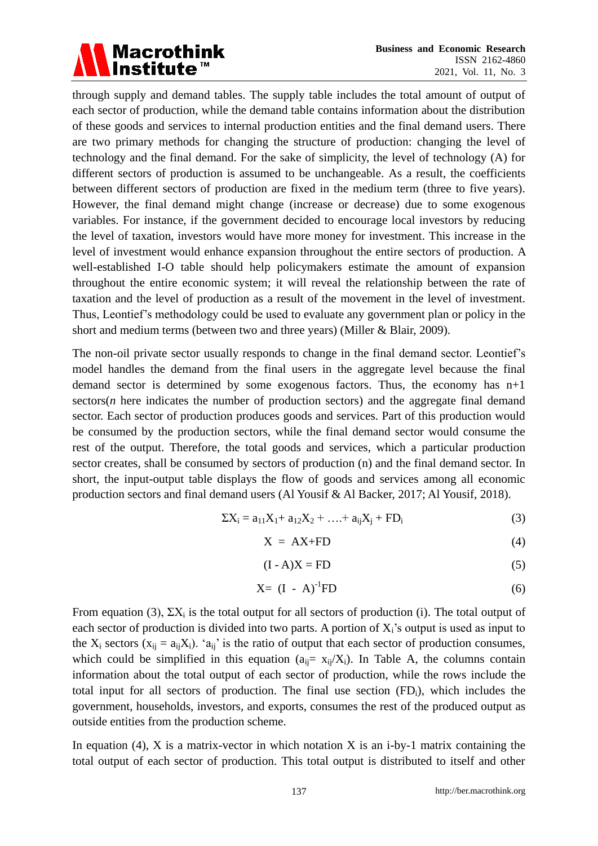

through supply and demand tables. The supply table includes the total amount of output of each sector of production, while the demand table contains information about the distribution of these goods and services to internal production entities and the final demand users. There are two primary methods for changing the structure of production: changing the level of technology and the final demand. For the sake of simplicity, the level of technology (A) for different sectors of production is assumed to be unchangeable. As a result, the coefficients between different sectors of production are fixed in the medium term (three to five years). However, the final demand might change (increase or decrease) due to some exogenous variables. For instance, if the government decided to encourage local investors by reducing the level of taxation, investors would have more money for investment. This increase in the level of investment would enhance expansion throughout the entire sectors of production. A well-established I-O table should help policymakers estimate the amount of expansion throughout the entire economic system; it will reveal the relationship between the rate of taxation and the level of production as a result of the movement in the level of investment. Thus, Leontief"s methodology could be used to evaluate any government plan or policy in the short and medium terms (between two and three years) (Miller & Blair, 2009).

The non-oil private sector usually responds to change in the final demand sector. Leontief"s model handles the demand from the final users in the aggregate level because the final demand sector is determined by some exogenous factors. Thus, the economy has n+1 sectors(*n* here indicates the number of production sectors) and the aggregate final demand sector. Each sector of production produces goods and services. Part of this production would be consumed by the production sectors, while the final demand sector would consume the rest of the output. Therefore, the total goods and services, which a particular production sector creates, shall be consumed by sectors of production (n) and the final demand sector. In short, the input-output table displays the flow of goods and services among all economic production sectors and final demand users (Al Yousif & Al Backer, 2017; Al Yousif, 2018).

$$
\Sigma X_i = a_{11}X_1 + a_{12}X_2 + \dots + a_{ij}X_j + FD_i
$$
 (3)

$$
X = AX + FD
$$
 (4)

$$
(I - A)X = FD
$$
 (5)

$$
X = (I - A)^{-1}FD
$$
 (6)

From equation (3),  $\Sigma X_i$  is the total output for all sectors of production (i). The total output of each sector of production is divided into two parts. A portion of  $X_i$ 's output is used as input to the  $X_i$  sectors ( $x_{ii} = a_{ii}X_i$ ). ' $a_{ii}$ ' is the ratio of output that each sector of production consumes, which could be simplified in this equation  $(a_{ii}= x_{ii}/X_i)$ . In Table A, the columns contain information about the total output of each sector of production, while the rows include the total input for all sectors of production. The final use section  $(FD_i)$ , which includes the government, households, investors, and exports, consumes the rest of the produced output as outside entities from the production scheme.

In equation (4),  $X$  is a matrix-vector in which notation  $X$  is an i-by-1 matrix containing the total output of each sector of production. This total output is distributed to itself and other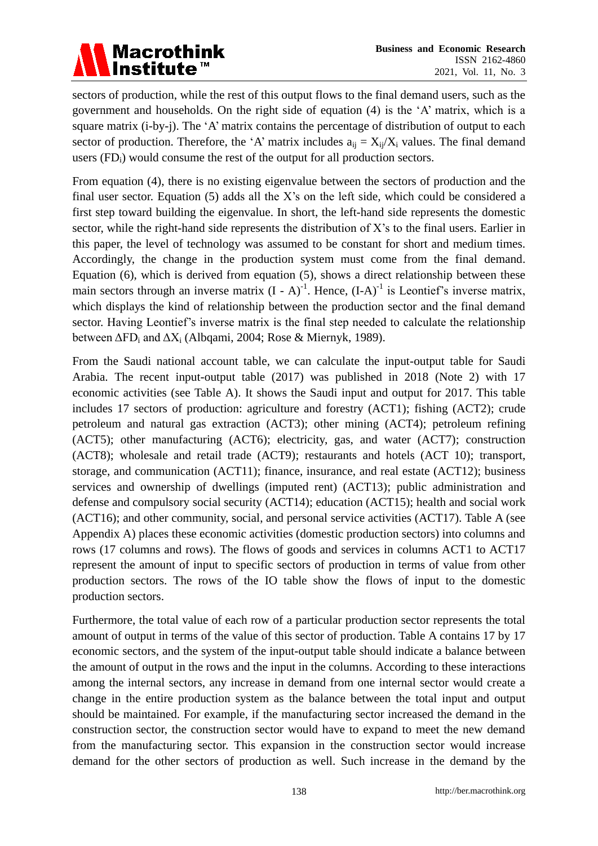# Macrothink<br>|Institute™

sectors of production, while the rest of this output flows to the final demand users, such as the government and households. On the right side of equation (4) is the "A" matrix, which is a square matrix (i-by-j). The 'A' matrix contains the percentage of distribution of output to each sector of production. Therefore, the 'A' matrix includes  $a_{ij} = X_{ij}/X_i$  values. The final demand users  $(FD_i)$  would consume the rest of the output for all production sectors.

From equation (4), there is no existing eigenvalue between the sectors of production and the final user sector. Equation  $(5)$  adds all the X's on the left side, which could be considered a first step toward building the eigenvalue. In short, the left-hand side represents the domestic sector, while the right-hand side represents the distribution of X"s to the final users. Earlier in this paper, the level of technology was assumed to be constant for short and medium times. Accordingly, the change in the production system must come from the final demand. Equation (6), which is derived from equation (5), shows a direct relationship between these main sectors through an inverse matrix  $(I - A)^{-1}$ . Hence,  $(I - A)^{-1}$  is Leontief's inverse matrix, which displays the kind of relationship between the production sector and the final demand sector. Having Leontief's inverse matrix is the final step needed to calculate the relationship between  $\Delta FD_i$  and  $\Delta X_i$  (Albqami, 2004; Rose & Miernyk, 1989).

From the Saudi national account table, we can calculate the input-output table for Saudi Arabia. The recent input-output table (2017) was published in 2018 (Note 2) with 17 economic activities (see Table A). It shows the Saudi input and output for 2017. This table includes 17 sectors of production: agriculture and forestry (ACT1); fishing (ACT2); crude petroleum and natural gas extraction (ACT3); other mining (ACT4); petroleum refining (ACT5); other manufacturing (ACT6); electricity, gas, and water (ACT7); construction (ACT8); wholesale and retail trade (ACT9); restaurants and hotels (ACT 10); transport, storage, and communication (ACT11); finance, insurance, and real estate (ACT12); business services and ownership of dwellings (imputed rent) (ACT13); public administration and defense and compulsory social security (ACT14); education (ACT15); health and social work (ACT16); and other community, social, and personal service activities (ACT17). Table A (see Appendix A) places these economic activities (domestic production sectors) into columns and rows (17 columns and rows). The flows of goods and services in columns ACT1 to ACT17 represent the amount of input to specific sectors of production in terms of value from other production sectors. The rows of the IO table show the flows of input to the domestic production sectors.

Furthermore, the total value of each row of a particular production sector represents the total amount of output in terms of the value of this sector of production. Table A contains 17 by 17 economic sectors, and the system of the input-output table should indicate a balance between the amount of output in the rows and the input in the columns. According to these interactions among the internal sectors, any increase in demand from one internal sector would create a change in the entire production system as the balance between the total input and output should be maintained. For example, if the manufacturing sector increased the demand in the construction sector, the construction sector would have to expand to meet the new demand from the manufacturing sector. This expansion in the construction sector would increase demand for the other sectors of production as well. Such increase in the demand by the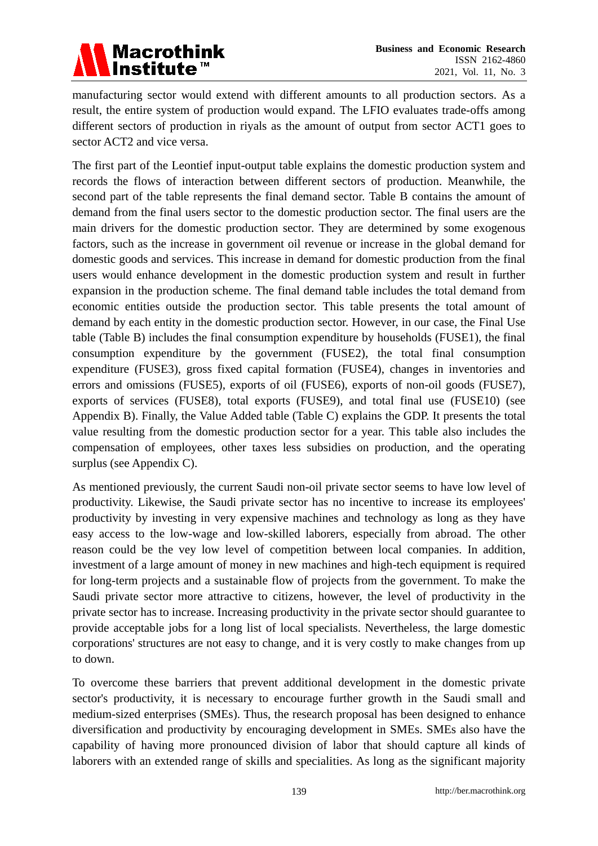

manufacturing sector would extend with different amounts to all production sectors. As a result, the entire system of production would expand. The LFIO evaluates trade-offs among different sectors of production in riyals as the amount of output from sector ACT1 goes to sector ACT2 and vice versa.

The first part of the Leontief input-output table explains the domestic production system and records the flows of interaction between different sectors of production. Meanwhile, the second part of the table represents the final demand sector. Table B contains the amount of demand from the final users sector to the domestic production sector. The final users are the main drivers for the domestic production sector. They are determined by some exogenous factors, such as the increase in government oil revenue or increase in the global demand for domestic goods and services. This increase in demand for domestic production from the final users would enhance development in the domestic production system and result in further expansion in the production scheme. The final demand table includes the total demand from economic entities outside the production sector. This table presents the total amount of demand by each entity in the domestic production sector. However, in our case, the Final Use table (Table B) includes the final consumption expenditure by households (FUSE1), the final consumption expenditure by the government (FUSE2), the total final consumption expenditure (FUSE3), gross fixed capital formation (FUSE4), changes in inventories and errors and omissions (FUSE5), exports of oil (FUSE6), exports of non-oil goods (FUSE7), exports of services (FUSE8), total exports (FUSE9), and total final use (FUSE10) (see Appendix B). Finally, the Value Added table (Table C) explains the GDP. It presents the total value resulting from the domestic production sector for a year. This table also includes the compensation of employees, other taxes less subsidies on production, and the operating surplus (see Appendix C).

As mentioned previously, the current Saudi non-oil private sector seems to have low level of productivity. Likewise, the Saudi private sector has no incentive to increase its employees' productivity by investing in very expensive machines and technology as long as they have easy access to the low-wage and low-skilled laborers, especially from abroad. The other reason could be the vey low level of competition between local companies. In addition, investment of a large amount of money in new machines and high-tech equipment is required for long-term projects and a sustainable flow of projects from the government. To make the Saudi private sector more attractive to citizens, however, the level of productivity in the private sector has to increase. Increasing productivity in the private sector should guarantee to provide acceptable jobs for a long list of local specialists. Nevertheless, the large domestic corporations' structures are not easy to change, and it is very costly to make changes from up to down.

To overcome these barriers that prevent additional development in the domestic private sector's productivity, it is necessary to encourage further growth in the Saudi small and medium-sized enterprises (SMEs). Thus, the research proposal has been designed to enhance diversification and productivity by encouraging development in SMEs. SMEs also have the capability of having more pronounced division of labor that should capture all kinds of laborers with an extended range of skills and specialities. As long as the significant majority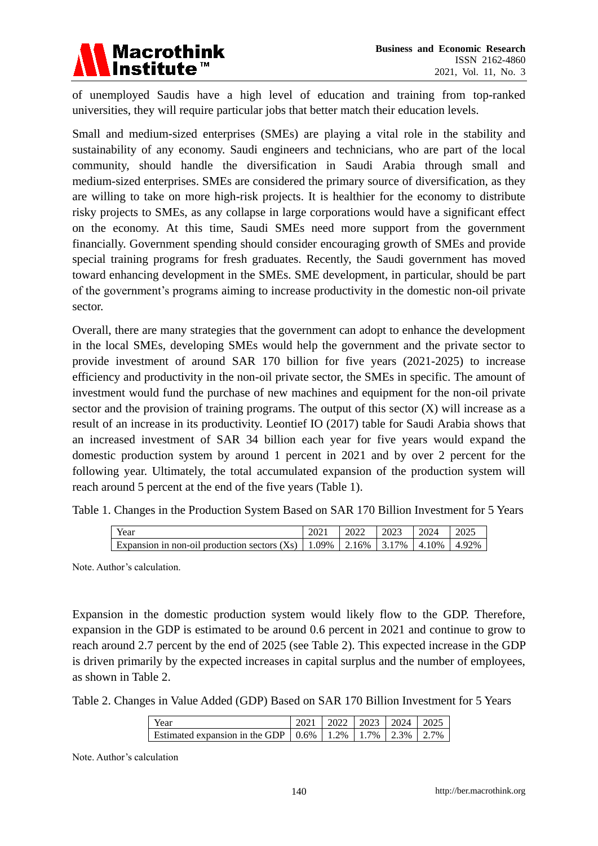

of unemployed Saudis have a high level of education and training from top-ranked universities, they will require particular jobs that better match their education levels.

Small and medium-sized enterprises (SMEs) are playing a vital role in the stability and sustainability of any economy. Saudi engineers and technicians, who are part of the local community, should handle the diversification in Saudi Arabia through small and medium-sized enterprises. SMEs are considered the primary source of diversification, as they are willing to take on more high-risk projects. It is healthier for the economy to distribute risky projects to SMEs, as any collapse in large corporations would have a significant effect on the economy. At this time, Saudi SMEs need more support from the government financially. Government spending should consider encouraging growth of SMEs and provide special training programs for fresh graduates. Recently, the Saudi government has moved toward enhancing development in the SMEs. SME development, in particular, should be part of the government"s programs aiming to increase productivity in the domestic non-oil private sector.

Overall, there are many strategies that the government can adopt to enhance the development in the local SMEs, developing SMEs would help the government and the private sector to provide investment of around SAR 170 billion for five years (2021-2025) to increase efficiency and productivity in the non-oil private sector, the SMEs in specific. The amount of investment would fund the purchase of new machines and equipment for the non-oil private sector and the provision of training programs. The output of this sector  $(X)$  will increase as a result of an increase in its productivity. Leontief IO (2017) table for Saudi Arabia shows that an increased investment of SAR 34 billion each year for five years would expand the domestic production system by around 1 percent in 2021 and by over 2 percent for the following year. Ultimately, the total accumulated expansion of the production system will reach around 5 percent at the end of the five years (Table 1).

|  | Table 1. Changes in the Production System Based on SAR 170 Billion Investment for 5 Years |  |  |  |  |  |
|--|-------------------------------------------------------------------------------------------|--|--|--|--|--|
|  |                                                                                           |  |  |  |  |  |

| Year                                                                                 | 2022 | 2023 | 12024 |  |
|--------------------------------------------------------------------------------------|------|------|-------|--|
| Expansion in non-oil production sectors (Xs)   1.09%   2.16%   3.17%   4.10%   4.92% |      |      |       |  |

Note. Author"s calculation.

Expansion in the domestic production system would likely flow to the GDP. Therefore, expansion in the GDP is estimated to be around 0.6 percent in 2021 and continue to grow to reach around 2.7 percent by the end of 2025 (see Table 2). This expected increase in the GDP is driven primarily by the expected increases in capital surplus and the number of employees, as shown in Table 2.

Table 2. Changes in Value Added (GDP) Based on SAR 170 Billion Investment for 5 Years

| Year                                                                                            |  | 2021   2022   2023   2024   2025 |  |
|-------------------------------------------------------------------------------------------------|--|----------------------------------|--|
| Estimated expansion in the GDP $\vert$ 0.6% $\vert$ 1.2% $\vert$ 1.7% $\vert$ 2.3% $\vert$ 2.7% |  |                                  |  |

Note. Author"s calculation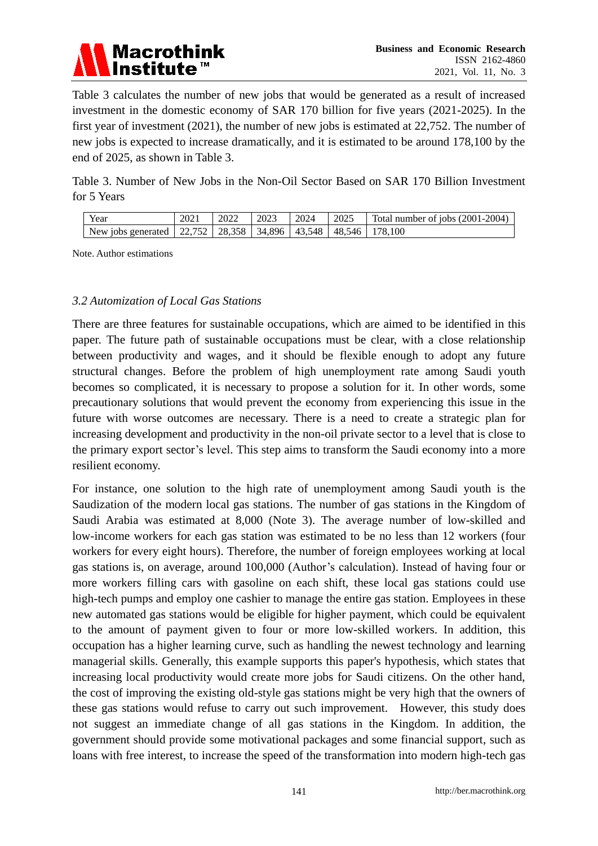

Table 3 calculates the number of new jobs that would be generated as a result of increased investment in the domestic economy of SAR 170 billion for five years (2021-2025). In the first year of investment (2021), the number of new jobs is estimated at 22,752. The number of new jobs is expected to increase dramatically, and it is estimated to be around 178,100 by the end of 2025, as shown in Table 3.

Table 3. Number of New Jobs in the Non-Oil Sector Based on SAR 170 Billion Investment for 5 Years

| Year                                                                      | 2021 | 2022 | 2023 | 2024 | 2025 | Total number of jobs $(2001-2004)$ |
|---------------------------------------------------------------------------|------|------|------|------|------|------------------------------------|
| New jobs generated   22,752   28,358   34,896   43,548   48,546   178,100 |      |      |      |      |      |                                    |

Note. Author estimations

#### *3.2 Automization of Local Gas Stations*

There are three features for sustainable occupations, which are aimed to be identified in this paper. The future path of sustainable occupations must be clear, with a close relationship between productivity and wages, and it should be flexible enough to adopt any future structural changes. Before the problem of high unemployment rate among Saudi youth becomes so complicated, it is necessary to propose a solution for it. In other words, some precautionary solutions that would prevent the economy from experiencing this issue in the future with worse outcomes are necessary. There is a need to create a strategic plan for increasing development and productivity in the non-oil private sector to a level that is close to the primary export sector"s level. This step aims to transform the Saudi economy into a more resilient economy.

For instance, one solution to the high rate of unemployment among Saudi youth is the Saudization of the modern local gas stations. The number of gas stations in the Kingdom of Saudi Arabia was estimated at 8,000 (Note 3). The average number of low-skilled and low-income workers for each gas station was estimated to be no less than 12 workers (four workers for every eight hours). Therefore, the number of foreign employees working at local gas stations is, on average, around 100,000 (Author"s calculation). Instead of having four or more workers filling cars with gasoline on each shift, these local gas stations could use high-tech pumps and employ one cashier to manage the entire gas station. Employees in these new automated gas stations would be eligible for higher payment, which could be equivalent to the amount of payment given to four or more low-skilled workers. In addition, this occupation has a higher learning curve, such as handling the newest technology and learning managerial skills. Generally, this example supports this paper's hypothesis, which states that increasing local productivity would create more jobs for Saudi citizens. On the other hand, the cost of improving the existing old-style gas stations might be very high that the owners of these gas stations would refuse to carry out such improvement. However, this study does not suggest an immediate change of all gas stations in the Kingdom. In addition, the government should provide some motivational packages and some financial support, such as loans with free interest, to increase the speed of the transformation into modern high-tech gas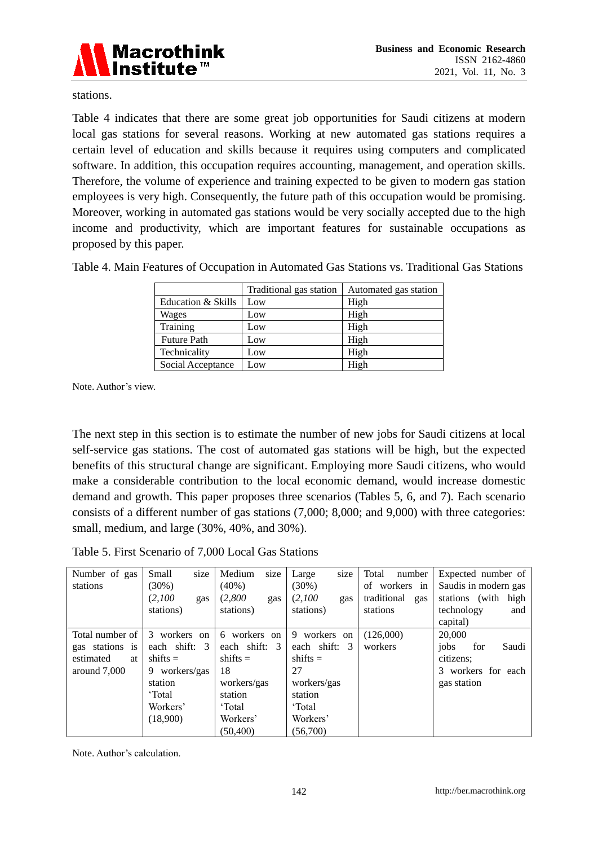

stations.

Table 4 indicates that there are some great job opportunities for Saudi citizens at modern local gas stations for several reasons. Working at new automated gas stations requires a certain level of education and skills because it requires using computers and complicated software. In addition, this occupation requires accounting, management, and operation skills. Therefore, the volume of experience and training expected to be given to modern gas station employees is very high. Consequently, the future path of this occupation would be promising. Moreover, working in automated gas stations would be very socially accepted due to the high income and productivity, which are important features for sustainable occupations as proposed by this paper.

|                    | Traditional gas station | Automated gas station |
|--------------------|-------------------------|-----------------------|
| Education & Skills | Low                     | High                  |
| Wages              | Low                     | High                  |
| Training           | Low                     | High                  |
| <b>Future Path</b> | Low                     | High                  |
| Technicality       | Low                     | High                  |
| Social Acceptance  | Low                     | High                  |

Table 4. Main Features of Occupation in Automated Gas Stations vs. Traditional Gas Stations

Note. Author"s view.

The next step in this section is to estimate the number of new jobs for Saudi citizens at local self-service gas stations. The cost of automated gas stations will be high, but the expected benefits of this structural change are significant. Employing more Saudi citizens, who would make a considerable contribution to the local economic demand, would increase domestic demand and growth. This paper proposes three scenarios (Tables 5, 6, and 7). Each scenario consists of a different number of gas stations (7,000; 8,000; and 9,000) with three categories: small, medium, and large (30%, 40%, and 30%).

Table 5. First Scenario of 7,000 Local Gas Stations

| Number of gas   | size<br>Small     | size<br>Medium | size<br>Large     | Total<br>number    | Expected number of     |
|-----------------|-------------------|----------------|-------------------|--------------------|------------------------|
| stations        | $(30\%)$          | $(40\%)$       | $(30\%)$          | of workers in      | Saudis in modern gas   |
|                 | (2,100)<br>gas    | (2,800)<br>gas | (2,100)<br>gas    | traditional<br>gas | stations (with<br>high |
|                 | stations)         | stations)      | stations)         | stations           | technology<br>and      |
|                 |                   |                |                   |                    | capital)               |
| Total number of | 3<br>workers on   | 6 workers on   | 9 workers on      | (126,000)          | 20,000                 |
| gas stations is | each shift:<br>-3 | each shift: 3  | each shift:<br>-3 | workers            | Saudi<br>jobs<br>for   |
| estimated<br>at | $shifts =$        | shifts $=$     | $shifts =$        |                    | citizens;              |
| around 7,000    | workers/gas<br>9. | 18             | 27                |                    | 3 workers for each     |
|                 | station           | workers/gas    | workers/gas       |                    | gas station            |
|                 | 'Total            | station        | station           |                    |                        |
|                 | Workers'          | 'Total         | 'Total            |                    |                        |
|                 | (18,900)          | Workers'       | Workers'          |                    |                        |
|                 |                   | (50, 400)      | (56,700)          |                    |                        |

Note. Author"s calculation.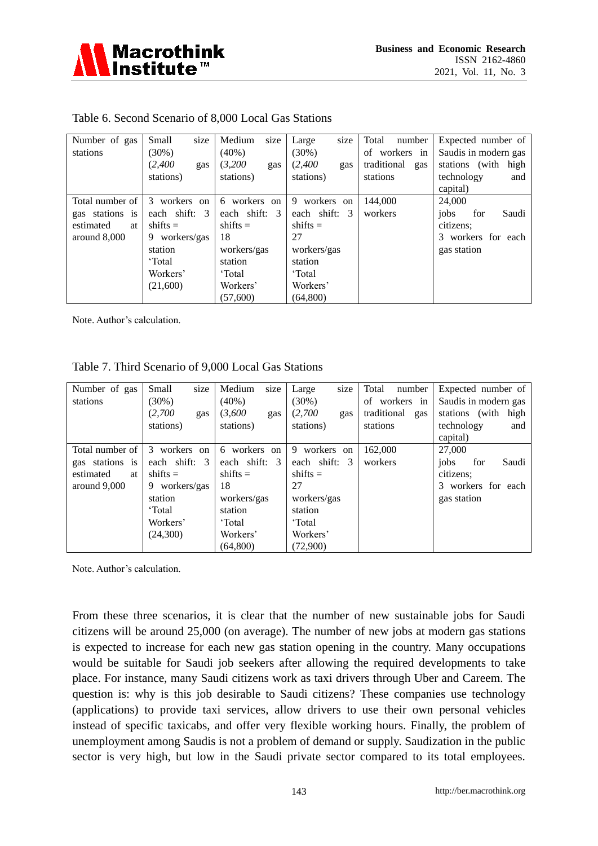

| Number of gas   | size<br>Small    | size<br>Medium             | Large<br>size                  | Total<br>number    | Expected number of     |
|-----------------|------------------|----------------------------|--------------------------------|--------------------|------------------------|
| stations        | (30%)            | $(40\%)$                   | $(30\%)$                       | of workers in      | Saudis in modern gas   |
|                 | (2,400)<br>gas   | (3,200)<br>gas             | (2,400)<br>gas                 | traditional<br>gas | stations (with<br>high |
|                 | stations)        | stations)                  | stations)                      | stations           | technology<br>and      |
|                 |                  |                            |                                |                    | capital)               |
| Total number of | workers on<br>3  | 6 workers<br><sub>on</sub> | workers<br>-9<br><sub>on</sub> | 144,000            | 24,000                 |
| gas stations is | each shift: 3    | each shift: 3              | each shift: 3                  | workers            | Saudi<br>jobs<br>for   |
| estimated<br>at | shifts $=$       | shifts $=$                 | $shifts =$                     |                    | citizens;              |
| around 8,000    | workers/gas<br>9 | 18                         | 27                             |                    | 3 workers for each     |
|                 | station          | workers/gas                | workers/gas                    |                    | gas station            |
|                 | 'Total           | station                    | station                        |                    |                        |
|                 | Workers'         | 'Total                     | 'Total                         |                    |                        |
|                 | (21,600)         | Workers'                   | Workers'                       |                    |                        |
|                 |                  | (57,600)                   | (64, 800)                      |                    |                        |

#### Table 6. Second Scenario of 8,000 Local Gas Stations

Note. Author"s calculation.

#### Table 7. Third Scenario of 9,000 Local Gas Stations

| Number of gas   | size<br>Small   | size<br>Medium             | size<br>Large   | Total<br>number    | Expected number of   |
|-----------------|-----------------|----------------------------|-----------------|--------------------|----------------------|
| stations        | $(30\%)$        | $(40\%)$                   | $(30\%)$        | of workers in      | Saudis in modern gas |
|                 | (2,700)<br>gas  | (3,600)<br>gas             | (2,700)<br>gas  | traditional<br>gas | stations (with high  |
|                 | stations)       | stations)                  | stations)       | stations           | technology<br>and    |
|                 |                 |                            |                 |                    | capital)             |
| Total number of | workers on<br>3 | 6 workers<br><sub>on</sub> | 9 workers<br>on | 162,000            | 27,000               |
| gas stations is | each shift: 3   | each shift: 3              | each shift: 3   | workers            | Saudi<br>jobs<br>for |
| estimated<br>at | shifts $=$      | shifts $=$                 | shifts $=$      |                    | citizens;            |
| around 9,000    | 9 workers/gas   | 18                         | 27              |                    | 3 workers for each   |
|                 | station         | workers/gas                | workers/gas     |                    | gas station          |
|                 | 'Total          | station                    | station         |                    |                      |
|                 | Workers'        | 'Total                     | 'Total          |                    |                      |
|                 | (24,300)        | Workers'                   | Workers'        |                    |                      |
|                 |                 | (64,800)                   | (72,900)        |                    |                      |

Note. Author"s calculation.

From these three scenarios, it is clear that the number of new sustainable jobs for Saudi citizens will be around 25,000 (on average). The number of new jobs at modern gas stations is expected to increase for each new gas station opening in the country. Many occupations would be suitable for Saudi job seekers after allowing the required developments to take place. For instance, many Saudi citizens work as taxi drivers through Uber and Careem. The question is: why is this job desirable to Saudi citizens? These companies use technology (applications) to provide taxi services, allow drivers to use their own personal vehicles instead of specific taxicabs, and offer very flexible working hours. Finally, the problem of unemployment among Saudis is not a problem of demand or supply. Saudization in the public sector is very high, but low in the Saudi private sector compared to its total employees.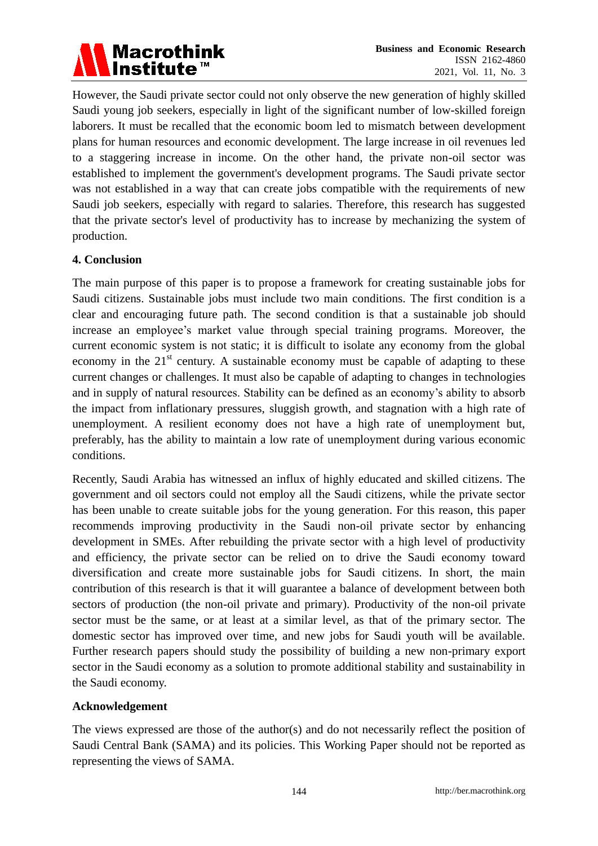

However, the Saudi private sector could not only observe the new generation of highly skilled Saudi young job seekers, especially in light of the significant number of low-skilled foreign laborers. It must be recalled that the economic boom led to mismatch between development plans for human resources and economic development. The large increase in oil revenues led to a staggering increase in income. On the other hand, the private non-oil sector was established to implement the government's development programs. The Saudi private sector was not established in a way that can create jobs compatible with the requirements of new Saudi job seekers, especially with regard to salaries. Therefore, this research has suggested that the private sector's level of productivity has to increase by mechanizing the system of production.

#### **4. Conclusion**

The main purpose of this paper is to propose a framework for creating sustainable jobs for Saudi citizens. Sustainable jobs must include two main conditions. The first condition is a clear and encouraging future path. The second condition is that a sustainable job should increase an employee's market value through special training programs. Moreover, the current economic system is not static; it is difficult to isolate any economy from the global economy in the  $21<sup>st</sup>$  century. A sustainable economy must be capable of adapting to these current changes or challenges. It must also be capable of adapting to changes in technologies and in supply of natural resources. Stability can be defined as an economy"s ability to absorb the impact from inflationary pressures, sluggish growth, and stagnation with a high rate of unemployment. A resilient economy does not have a high rate of unemployment but, preferably, has the ability to maintain a low rate of unemployment during various economic conditions.

Recently, Saudi Arabia has witnessed an influx of highly educated and skilled citizens. The government and oil sectors could not employ all the Saudi citizens, while the private sector has been unable to create suitable jobs for the young generation. For this reason, this paper recommends improving productivity in the Saudi non-oil private sector by enhancing development in SMEs. After rebuilding the private sector with a high level of productivity and efficiency, the private sector can be relied on to drive the Saudi economy toward diversification and create more sustainable jobs for Saudi citizens. In short, the main contribution of this research is that it will guarantee a balance of development between both sectors of production (the non-oil private and primary). Productivity of the non-oil private sector must be the same, or at least at a similar level, as that of the primary sector. The domestic sector has improved over time, and new jobs for Saudi youth will be available. Further research papers should study the possibility of building a new non-primary export sector in the Saudi economy as a solution to promote additional stability and sustainability in the Saudi economy.

#### **Acknowledgement**

The views expressed are those of the author(s) and do not necessarily reflect the position of Saudi Central Bank (SAMA) and its policies. This Working Paper should not be reported as representing the views of SAMA.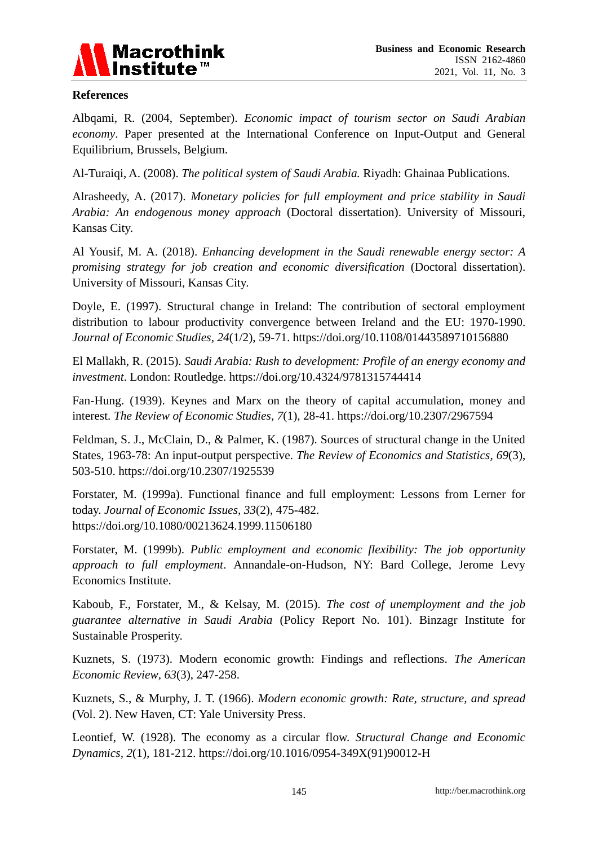

#### **References**

Albqami, R. (2004, September). *Economic impact of tourism sector on Saudi Arabian economy*. Paper presented at the International Conference on Input-Output and General Equilibrium, Brussels, Belgium.

Al-Turaiqi, A. (2008). *The political system of Saudi Arabia.* Riyadh: Ghainaa Publications*.*

Alrasheedy, A. (2017). *Monetary policies for full employment and price stability in Saudi Arabia: An endogenous money approach* (Doctoral dissertation). University of Missouri, Kansas City.

Al Yousif, M. A. (2018). *Enhancing development in the Saudi renewable energy sector: A promising strategy for job creation and economic diversification* (Doctoral dissertation). University of Missouri, Kansas City.

Doyle, E. (1997). Structural change in Ireland: The contribution of sectoral employment distribution to labour productivity convergence between Ireland and the EU: 1970-1990. *Journal of Economic Studies, 24*(1/2), 59-71. https://doi.org/10.1108/01443589710156880

El Mallakh, R. (2015). *Saudi Arabia: Rush to development: Profile of an energy economy and investment*. London: Routledge. https://doi.org/10.4324/9781315744414

Fan-Hung. (1939). Keynes and Marx on the theory of capital accumulation, money and interest. *The Review of Economic Studies, 7*(1), 28-41. https://doi.org/10.2307/2967594

Feldman, S. J., McClain, D., & Palmer, K. (1987). Sources of structural change in the United States, 1963-78: An input-output perspective. *The Review of Economics and Statistics, 69*(3), 503-510. https://doi.org/10.2307/1925539

Forstater, M. (1999a). Functional finance and full employment: Lessons from Lerner for today. *Journal of Economic Issues, 33*(2), 475-482. https://doi.org/10.1080/00213624.1999.11506180

Forstater, M. (1999b). *Public employment and economic flexibility: The job opportunity approach to full employment*. Annandale-on-Hudson, NY: Bard College, Jerome Levy Economics Institute.

Kaboub, F., Forstater, M., & Kelsay, M. (2015). *The cost of unemployment and the job guarantee alternative in Saudi Arabia* (Policy Report No. 101). Binzagr Institute for Sustainable Prosperity.

Kuznets, S. (1973). Modern economic growth: Findings and reflections. *The American Economic Review, 63*(3), 247-258.

Kuznets, S., & Murphy, J. T. (1966). *Modern economic growth: Rate, structure, and spread*  (Vol. 2). New Haven, CT: Yale University Press.

Leontief, W. (1928). The economy as a circular flow. *Structural Change and Economic Dynamics, 2*(1), 181-212. https://doi.org/10.1016/0954-349X(91)90012-H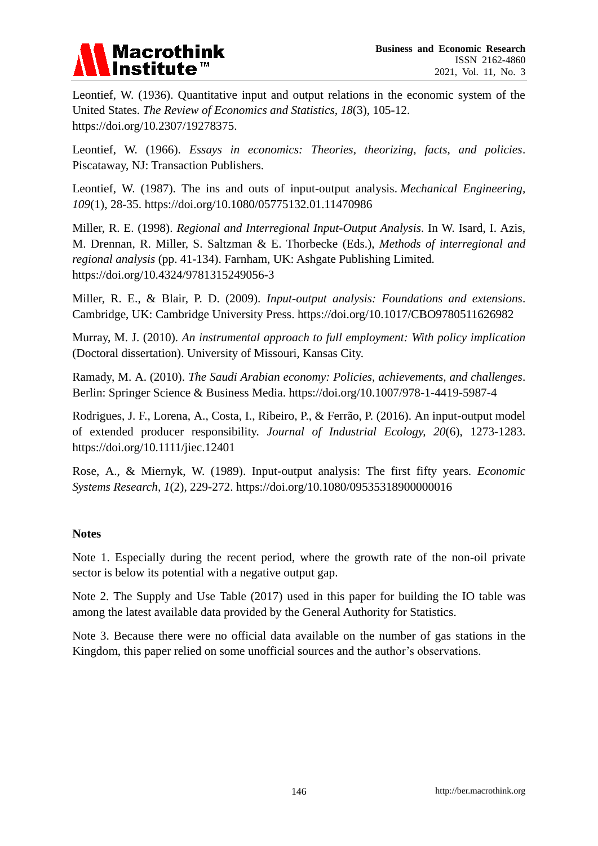

Leontief, W. (1936). Quantitative input and output relations in the economic system of the United States. *The Review of Economics and Statistics, 18*(3), 105-12. https://doi.org/10.2307/19278375.

Leontief, W. (1966). *Essays in economics: Theories, theorizing, facts, and policies*. Piscataway, NJ: Transaction Publishers.

Leontief, W. (1987). The ins and outs of input-output analysis. *Mechanical Engineering, 109*(1), 28-35. https://doi.org/10.1080/05775132.01.11470986

Miller, R. E. (1998). *Regional and Interregional Input-Output Analysis*. In W. Isard, I. Azis, M. Drennan, R. Miller, S. Saltzman & E. Thorbecke (Eds.), *Methods of interregional and regional analysis* (pp. 41-134). Farnham, UK: Ashgate Publishing Limited. https://doi.org/10.4324/9781315249056-3

Miller, R. E., & Blair, P. D. (2009). *Input-output analysis: Foundations and extensions*. Cambridge, UK: Cambridge University Press. https://doi.org/10.1017/CBO9780511626982

Murray, M. J. (2010). *An instrumental approach to full employment: With policy implication* (Doctoral dissertation). University of Missouri, Kansas City.

Ramady, M. A. (2010). *The Saudi Arabian economy: Policies, achievements, and challenges*. Berlin: Springer Science & Business Media. https://doi.org/10.1007/978-1-4419-5987-4

Rodrigues, J. F., Lorena, A., Costa, I., Ribeiro, P., & Ferrão, P. (2016). An input-output model of extended producer responsibility. *Journal of Industrial Ecology, 20*(6), 1273-1283. https://doi.org/10.1111/jiec.12401

Rose, A., & Miernyk, W. (1989). Input-output analysis: The first fifty years. *Economic Systems Research, 1*(2), 229-272. https://doi.org/10.1080/09535318900000016

#### **Notes**

Note 1. Especially during the recent period, where the growth rate of the non-oil private sector is below its potential with a negative output gap.

Note 2. The Supply and Use Table (2017) used in this paper for building the IO table was among the latest available data provided by the General Authority for Statistics.

Note 3. Because there were no official data available on the number of gas stations in the Kingdom, this paper relied on some unofficial sources and the author's observations.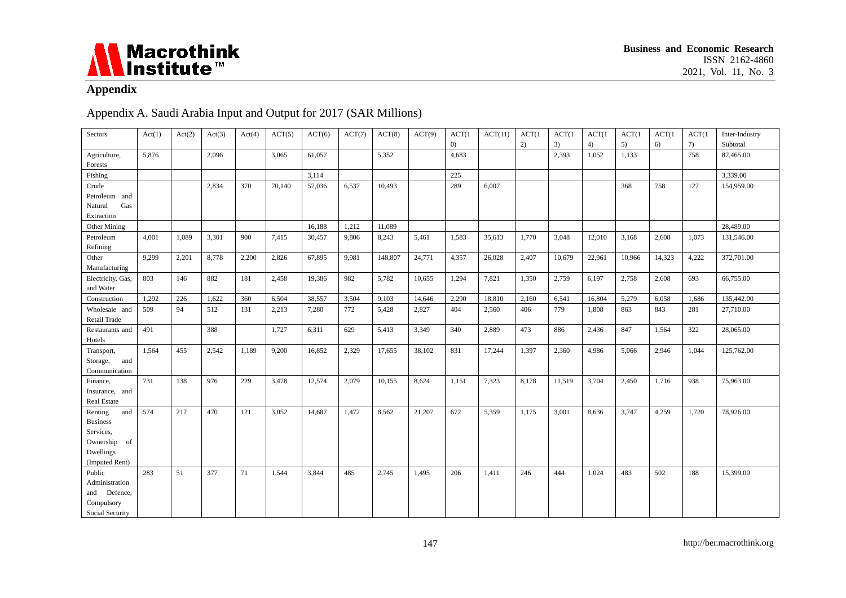

# **Appendix**

# Appendix A. Saudi Arabia Input and Output for 2017 (SAR Millions)

| Sectors                       | Act(1) | Act(2) | Act(3) | Act(4) | ACT(5) | ACT(6) | ACT(7) | ACT(8)  | ACT(9) | ACT(1) | ACT(11) | ACT(1) | ACT(1) | ACT(1) | ACT(1) | ACT(1) | ACT(1) | Inter-Industry |
|-------------------------------|--------|--------|--------|--------|--------|--------|--------|---------|--------|--------|---------|--------|--------|--------|--------|--------|--------|----------------|
|                               |        |        |        |        |        |        |        |         |        | (0)    |         | 2)     | 3)     | 4)     | 5)     | 6)     | 7)     | Subtotal       |
| Agriculture,<br>Forests       | 5,876  |        | 2,096  |        | 3,065  | 61,057 |        | 5,352   |        | 4,683  |         |        | 2,393  | 1,052  | 1,133  |        | 758    | 87,465.00      |
| Fishing                       |        |        |        |        |        | 3,114  |        |         |        | 225    |         |        |        |        |        |        |        | 3,339.00       |
| Crude                         |        |        | 2,834  | 370    | 70,140 | 57,036 | 6,537  | 10,493  |        | 289    | 6,007   |        |        |        | 368    | 758    | 127    | 154,959.00     |
| Petroleum and                 |        |        |        |        |        |        |        |         |        |        |         |        |        |        |        |        |        |                |
| Gas<br>Natural                |        |        |        |        |        |        |        |         |        |        |         |        |        |        |        |        |        |                |
| Extraction                    |        |        |        |        |        |        |        |         |        |        |         |        |        |        |        |        |        |                |
| Other Mining                  |        |        |        |        |        | 16,188 | 1,212  | 11.089  |        |        |         |        |        |        |        |        |        | 28,489.00      |
| Petroleum                     | 4,001  | 1,089  | 3,301  | 900    | 7,415  | 30,457 | 9,806  | 8,243   | 5,461  | 1,583  | 35,613  | 1,770  | 3,048  | 12,010 | 3,168  | 2,608  | 1,073  | 131,546.00     |
| Refining                      |        |        |        |        |        |        |        |         |        |        |         |        |        |        |        |        |        |                |
| Other                         | 9.299  | 2,201  | 8,778  | 2,200  | 2.826  | 67.895 | 9,981  | 148,807 | 24,771 | 4,357  | 26,028  | 2,407  | 10.679 | 22,961 | 10,966 | 14,323 | 4,222  | 372,701.00     |
| Manufacturing                 |        |        |        |        |        |        |        |         |        |        |         |        |        |        |        |        |        |                |
| Electricity, Gas,             | 803    | 146    | 882    | 181    | 2,458  | 19,386 | 982    | 5,782   | 10,655 | 1,294  | 7,821   | 1,350  | 2,759  | 6,197  | 2,758  | 2,608  | 693    | 66,755.00      |
| and Water                     |        |        |        |        |        |        |        |         |        |        |         |        |        |        |        |        |        |                |
| Construction                  | 1.292  | 226    | 1,622  | 360    | 6,504  | 38,557 | 3,504  | 9,103   | 14,646 | 2,290  | 18,810  | 2,160  | 6,541  | 16,804 | 5,279  | 6,058  | 1,686  | 135,442.00     |
| Wholesale and                 | 509    | 94     | 512    |        | 2,213  | 7,280  | 772    | 5,428   | 2,827  | 404    |         | 406    | 779    | 1,808  | 863    | 843    | 281    | 27,710.00      |
| Retail Trade                  |        |        |        | 131    |        |        |        |         |        |        | 2,560   |        |        |        |        |        |        |                |
| Restaurants and               | 491    |        | 388    |        | 1,727  | 6,311  | 629    | 5,413   | 3,349  | 340    | 2,889   | 473    | 886    | 2,436  | 847    | 1,564  | 322    | 28,065.00      |
| Hotels                        |        |        |        |        |        |        |        |         |        |        |         |        |        |        |        |        |        |                |
|                               | 1,564  | 455    | 2,542  | 1,189  | 9,200  | 16,852 | 2,329  | 17,655  | 38,102 | 831    | 17,244  | 1,397  | 2,360  | 4,986  | 5,066  | 2,946  | 1,044  | 125,762.00     |
| Transport,<br>Storage,<br>and |        |        |        |        |        |        |        |         |        |        |         |        |        |        |        |        |        |                |
| Communication                 |        |        |        |        |        |        |        |         |        |        |         |        |        |        |        |        |        |                |
| Finance,                      | 731    | 138    | 976    | 229    | 3,478  | 12,574 | 2,079  | 10,155  | 8,624  | 1,151  | 7,323   | 8,178  | 11,519 | 3,704  | 2,450  | 1,716  | 938    | 75,963.00      |
| Insurance, and                |        |        |        |        |        |        |        |         |        |        |         |        |        |        |        |        |        |                |
| <b>Real Estate</b>            |        |        |        |        |        |        |        |         |        |        |         |        |        |        |        |        |        |                |
| Renting<br>and                | 574    | 212    | 470    | 121    | 3,052  | 14,687 | 1,472  | 8,562   | 21,207 | 672    | 5,359   | 1,175  | 3,001  | 8,636  | 3,747  | 4,259  | 1,720  | 78,926.00      |
| <b>Business</b>               |        |        |        |        |        |        |        |         |        |        |         |        |        |        |        |        |        |                |
| Services,                     |        |        |        |        |        |        |        |         |        |        |         |        |        |        |        |        |        |                |
| Ownership<br>of               |        |        |        |        |        |        |        |         |        |        |         |        |        |        |        |        |        |                |
| Dwellings                     |        |        |        |        |        |        |        |         |        |        |         |        |        |        |        |        |        |                |
| (Imputed Rent)                |        |        |        |        |        |        |        |         |        |        |         |        |        |        |        |        |        |                |
| Public                        | 283    | 51     | 377    | 71     | 1,544  | 3,844  | 485    | 2,745   | 1,495  | 206    | 1,411   | 246    | 444    | 1,024  | 483    | 502    | 188    | 15,399.00      |
| Administration                |        |        |        |        |        |        |        |         |        |        |         |        |        |        |        |        |        |                |
| and Defence,                  |        |        |        |        |        |        |        |         |        |        |         |        |        |        |        |        |        |                |
| Compulsory                    |        |        |        |        |        |        |        |         |        |        |         |        |        |        |        |        |        |                |
| Social Security               |        |        |        |        |        |        |        |         |        |        |         |        |        |        |        |        |        |                |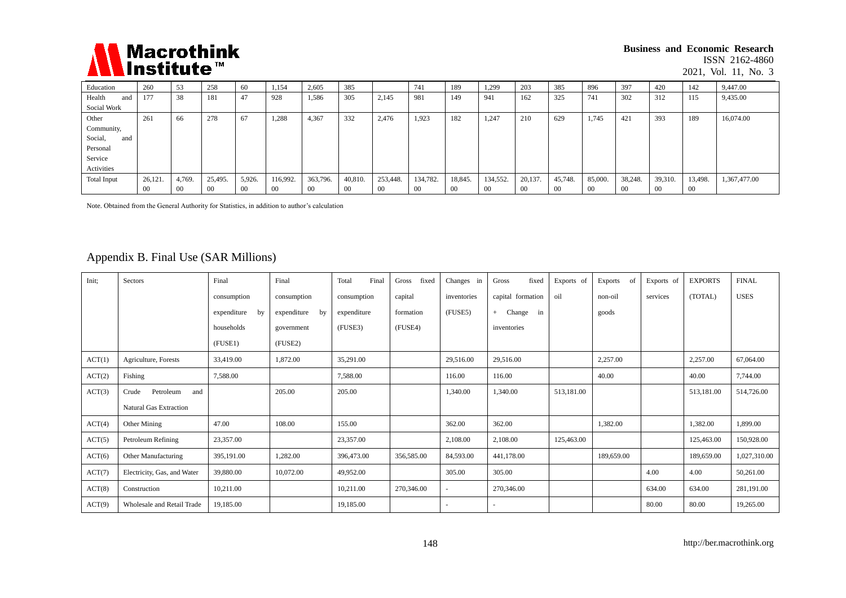

#### **Business and Economic Research**

ISSN 2162-4860

2021, Vol. 11, No. 3

| Education          | 260    | 53     | 258            | 60     | 1,154    | 2,605    | 385     |          | 741      | 189     | 1,299    | 203            | 385            | 896     | 397     | 420     | 142     | 9,447.00     |
|--------------------|--------|--------|----------------|--------|----------|----------|---------|----------|----------|---------|----------|----------------|----------------|---------|---------|---------|---------|--------------|
| Health<br>and      | 177    | 38     | 181            | 47     | 928      | 1,586    | 305     | 2,145    | 981      | 149     | 941      | 162            | 325            | 741     | 302     | 312     | 115     | 9,435.00     |
| Social Work        |        |        |                |        |          |          |         |          |          |         |          |                |                |         |         |         |         |              |
| Other              | 261    | 66     | 278            | 67     | 1.288    | 4,367    | 332     | 2,476    | 1,923    | 182     | 1,247    | 210            | 629            | 1,745   | 421     | 393     | 189     | 16,074.00    |
| Community,         |        |        |                |        |          |          |         |          |          |         |          |                |                |         |         |         |         |              |
| Social,<br>and     |        |        |                |        |          |          |         |          |          |         |          |                |                |         |         |         |         |              |
| Personal           |        |        |                |        |          |          |         |          |          |         |          |                |                |         |         |         |         |              |
| Service            |        |        |                |        |          |          |         |          |          |         |          |                |                |         |         |         |         |              |
| Activities         |        |        |                |        |          |          |         |          |          |         |          |                |                |         |         |         |         |              |
| <b>Total Input</b> | 26,121 | 4,769. | 25,495.        | 5,926. | 116,992. | 363,796. | 40.810. | 253,448. | 134,782. | 18,845. | 134,552. | 20,137.        | 45,748.        | 85,000. | 38,248. | 39,310. | 13,498. | 1,367,477.00 |
|                    | 00     | 00     | 0 <sup>0</sup> | 00     | -00      | 00       | -00     | $00\,$   | $00\,$   | -00     | 00       | 0 <sup>0</sup> | 0 <sup>0</sup> | -00     | $00\,$  | - 00    | -00     |              |

Note. Obtained from the General Authority for Statistics, in addition to author"s calculation

# Appendix B. Final Use (SAR Millions)

| Init:  | Sectors                     | Final             | Final             | Total<br>Final | Gross<br>fixed | Changes in               | fixed<br>Gross      | Exports of | of<br>Exports | Exports of | <b>EXPORTS</b> | <b>FINAL</b> |
|--------|-----------------------------|-------------------|-------------------|----------------|----------------|--------------------------|---------------------|------------|---------------|------------|----------------|--------------|
|        |                             | consumption       | consumption       | consumption    | capital        | inventories              | capital formation   | oil        | non-oil       | services   | (TOTAL)        | <b>USES</b>  |
|        |                             | expenditure<br>by | expenditure<br>by | expenditure    | formation      | (FUSE5)                  | Change<br>in<br>$+$ |            | goods         |            |                |              |
|        |                             | households        | government        | (FUSE3)        | (FUSE4)        |                          | inventories         |            |               |            |                |              |
|        |                             | (FUSE1)           | (FUSE2)           |                |                |                          |                     |            |               |            |                |              |
| ACT(1) | Agriculture, Forests        | 33,419.00         | 1,872.00          | 35,291.00      |                | 29,516.00                | 29,516.00           |            | 2,257.00      |            | 2,257.00       | 67,064.00    |
| ACT(2) | Fishing                     | 7,588.00          |                   | 7,588.00       |                | 116.00                   | 116.00              |            | 40.00         |            | 40.00          | 7,744.00     |
| ACT(3) | Crude<br>Petroleum<br>and   |                   | 205.00            | 205.00         |                | 1,340.00                 | 1,340.00            | 513,181.00 |               |            | 513,181.00     | 514,726.00   |
|        | Natural Gas Extraction      |                   |                   |                |                |                          |                     |            |               |            |                |              |
| ACT(4) | Other Mining                | 47.00             | 108.00            | 155.00         |                | 362.00                   | 362.00              |            | 1,382.00      |            | 1,382.00       | 1,899.00     |
| ACT(5) | Petroleum Refining          | 23,357.00         |                   | 23,357.00      |                | 2,108.00                 | 2,108.00            | 125,463.00 |               |            | 125,463.00     | 150,928.00   |
| ACT(6) | Other Manufacturing         | 395,191.00        | 1,282.00          | 396,473.00     | 356,585.00     | 84,593.00                | 441,178.00          |            | 189,659.00    |            | 189,659.00     | 1,027,310.00 |
| ACT(7) | Electricity, Gas, and Water | 39,880.00         | 10.072.00         | 49,952.00      |                | 305.00                   | 305.00              |            |               | 4.00       | 4.00           | 50,261.00    |
| ACT(8) | Construction                | 10,211.00         |                   | 10,211.00      | 270,346.00     | $\overline{\phantom{a}}$ | 270,346.00          |            |               | 634.00     | 634.00         | 281,191.00   |
| ACT(9) | Wholesale and Retail Trade  | 19,185.00         |                   | 19,185.00      |                |                          | ٠                   |            |               | 80.00      | 80.00          | 19,265.00    |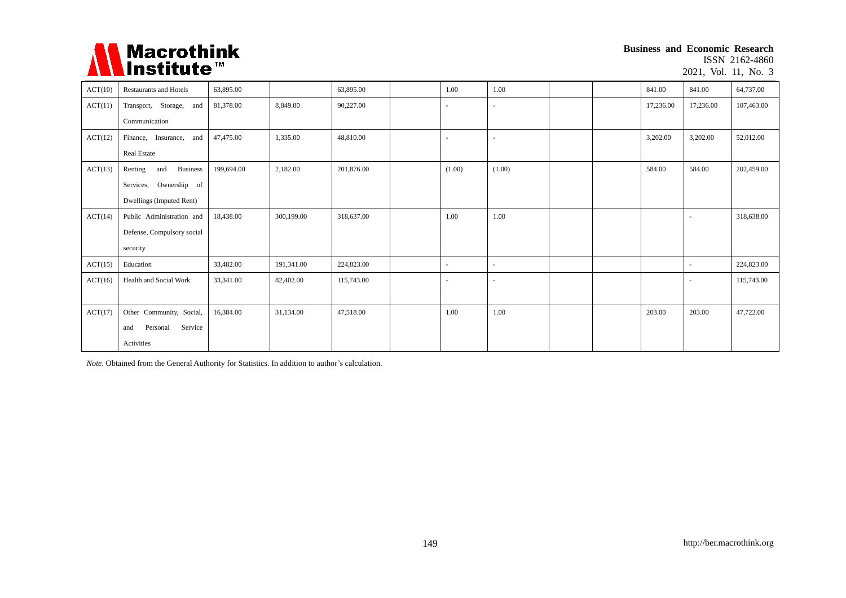

**Business and Economic Research** ISSN 2162-4860

2021, Vol. 11, No. 3

| ACT(10) | <b>Restaurants and Hotels</b>     | 63,895.00  |            | 63,895.00  | 1.00   | 1.00   |  | 841.00    | 841.00    | 64,737.00  |
|---------|-----------------------------------|------------|------------|------------|--------|--------|--|-----------|-----------|------------|
| ACT(11) | Transport, Storage, and           | 81,378.00  | 8,849.00   | 90,227.00  |        |        |  | 17,236.00 | 17,236.00 | 107,463.00 |
|         | Communication                     |            |            |            |        |        |  |           |           |            |
| ACT(12) | Finance, Insurance, and           | 47,475.00  | 1,335.00   | 48,810.00  |        |        |  | 3,202.00  | 3,202.00  | 52,012.00  |
|         | <b>Real Estate</b>                |            |            |            |        |        |  |           |           |            |
| ACT(13) | Renting<br><b>Business</b><br>and | 199,694.00 | 2,182.00   | 201,876.00 | (1.00) | (1.00) |  | 584.00    | 584.00    | 202,459.00 |
|         | Services, Ownership of            |            |            |            |        |        |  |           |           |            |
|         | Dwellings (Imputed Rent)          |            |            |            |        |        |  |           |           |            |
| ACT(14) | Public Administration and         | 18,438.00  | 300,199.00 | 318,637.00 | 1.00   | 1.00   |  |           |           | 318,638.00 |
|         | Defense, Compulsory social        |            |            |            |        |        |  |           |           |            |
|         | security                          |            |            |            |        |        |  |           |           |            |
| ACT(15) | Education                         | 33,482.00  | 191,341.00 | 224,823.00 |        |        |  |           |           | 224,823.00 |
| ACT(16) | Health and Social Work            | 33,341.00  | 82,402.00  | 115,743.00 |        |        |  |           |           | 115,743.00 |
|         |                                   |            |            |            |        |        |  |           |           |            |
| ACT(17) | Other Community, Social,          | 16.384.00  | 31,134.00  | 47.518.00  | 1.00   | 1.00   |  | 203.00    | 203.00    | 47,722.00  |
|         | Service<br>Personal<br>and        |            |            |            |        |        |  |           |           |            |
|         | Activities                        |            |            |            |        |        |  |           |           |            |

*Note.* Obtained from the General Authority for Statistics. In addition to author's calculation.